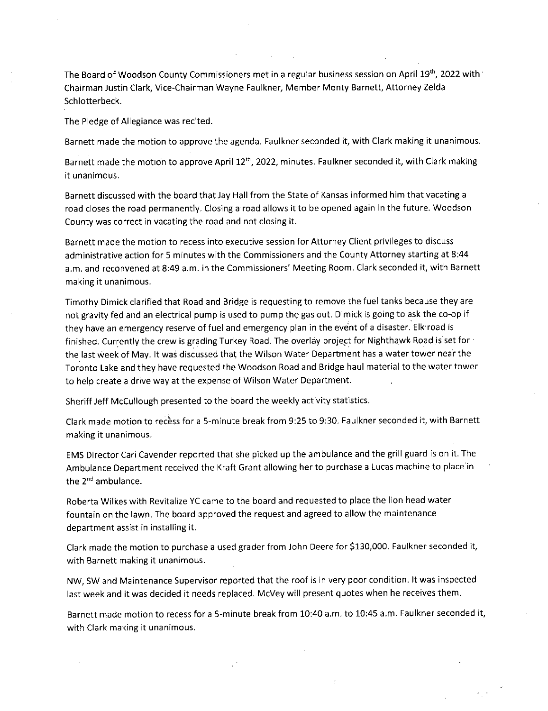The Board of Woodson County Commissioners met in a regular business session on April 19<sup>th</sup>, 2022 with <sup>•</sup> Chairman Justin Clark, Vice-Chairman Wayne Faulkner, Member Monty Barnett, Attorney Zelda Schlotterbeck.

The Pledge of Allegiance was recited.

Barnett made the motion to approve the agenda. Faulkner seconded it, with Clark making it unanimous.

Barnett made the motion to approve April 12<sup>th</sup>, 2022, minutes. Faulkner seconded it, with Clark making it unanimous.

Barnett discussed with the board that Jay Hall from the State of Kansas informed him that vacating a road closes the road permanently. Closing a road allows it to be opened again in the future. Woodson County was correct in vacating the road and not closing it.

Barnett made the motion to recess into executive session for Attorney Client privileges to discuss administrative action for 5 minutes with the Commissioners and the County Attorney starting at 8:44 a.m, and reconvened at 8:49 a.m. in the Commissioners' Meeting Room. Clark seconded it, with Barnett making it unanimous.

Timothy Dimick clarified that Road and Bridge is requesting to remove the fuel tanks because they are not gravity fed and an electrical pump is used to pump the gas out. Dimick is going to ask the co-op if they have an emergency reserve of fuel and emergency plan in the event of a disaster. Elk road is finished. Currently the crew is grading Turkey Road. The overlay project for Nighthawk Road is'set for • the last week of May. It was discussed that the Wilson Water Department has a water tower near the Toronto Lake and they have requested the Woodson Road and Bridge haul material to the water tower to help create a drive way at the expense of Wilson Water Department.

Sheriff Jeff McCullough presented to the board the weekly activity statistics.

Clark made motion to recess for a 5-minute break from 9:25 to 9:30. Faulkner seconded it, with Barnett making it unanimous.

EMS Director Cari Cavender reported that she picked up the ambulance and the grill guard is on it. The Ambulance Department received the Kraft Grant allowing her to purchase a Lucas machine to place in the  $2^{nd}$  ambulance.

Roberta Wilkes with Revitalize YC came to the board and requested to place the lion head water fountain on the lawn. The board approved the request and agreed to allow the maintenance department assist in installing it.

Clark made the motion to purchase a used grader from John Deere for \$130,000. Faulkner seconded it, with Barnett making it unanimous.

NW, SW and Maintenance Supervisor reported that the roof is in very poor condition. It was inspected last week and it was decided it needs replaced. McVey will present quotes when he receives them.

Barnett made motion to recess for a 5-minute break from 10:40 a.m. to 10:45 a.m. Faulkner seconded it, with Clark making it unanimous.